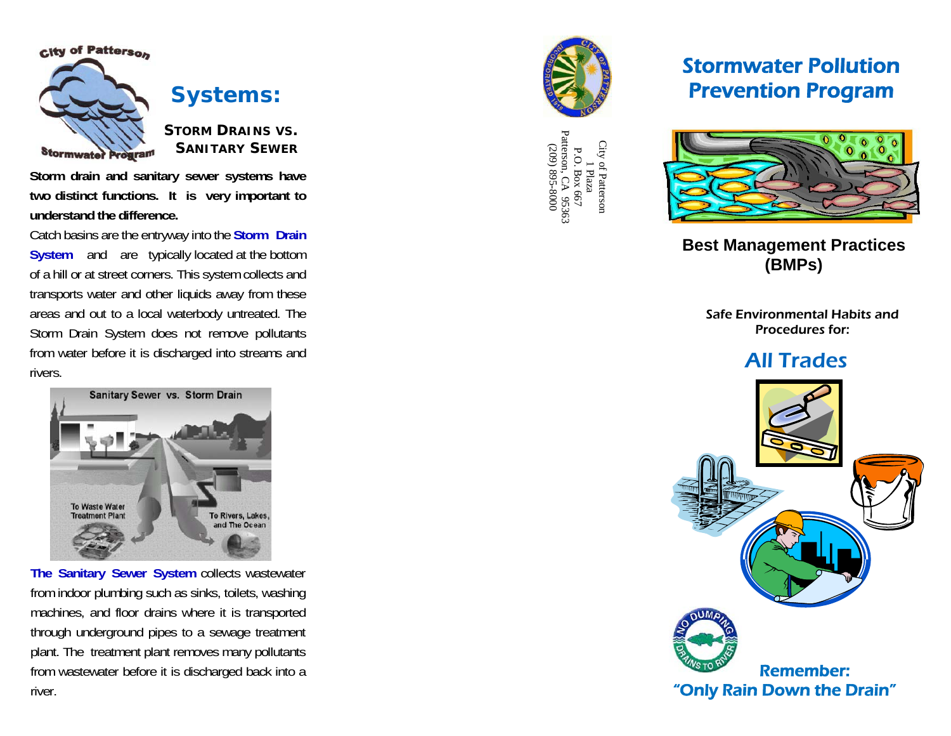

**Systems:** 

**STORM DRAINS VS. SANITARY SEWER**

**Storm drain and sanitary sewer systems have two distinct functions. It is very important to understand the difference.** 

Catch basins are the entryway into the **Storm Drain System** and are typically located at the bottom of a hill or at street corners. This system collects and transports water and other liquids away from these areas and out to a local waterbody untreated. The Storm Drain System does not remove pollutants from water before it is discharged into streams and rivers.

Sanitary Sewer vs. Storm Drain To Waste Water **Treatment Plant** To Rivers, Lakes, and The Ocean

**The Sanitary Sewer System** collects wastewater from indoor plumbing such as sinks, toilets, washing machines, and floor drains where it is transported through underground pipes to a sewage treatment plant. The treatment plant removes many pollutants from wastewater before it is discharged back into a river.



City of Patterson City of Patterson<br>
1 Plaza<br>
P.O. Box 667<br>
Patterson, CA 95363<br>
(209) 895-8000<br>
(209) 895-8000 P.O. Box 667 Patterson, CA 95363 (209) 895-8000

# Stormwater Pollution Prevention Program



**Best Management Practices (BMPs)**

Safe Environmental Habits and Procedures for:

## All Trades